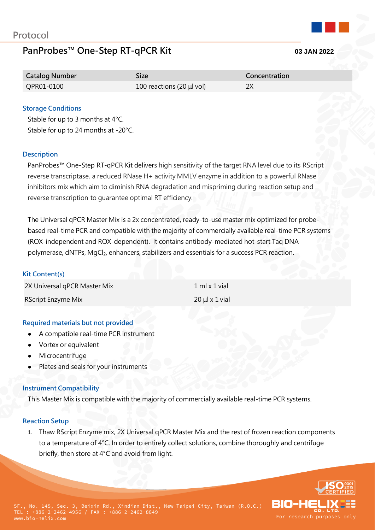# **PanProbes™ One-Step RT-qPCR Kit 03 JAN 2022**

| <b>Catalog Number</b> | Size:                     | Concentration |
|-----------------------|---------------------------|---------------|
| QPR01-0100            | 100 reactions (20 µl vol) | 2X            |

## **Storage Conditions**

Stable for up to 3 months at 4°C. Stable for up to 24 months at -20°C.

#### **Description**

PanProbes™ One-Step RT-qPCR Kit delivers high sensitivity of the target RNA level due to its RScript reverse transcriptase, a reduced RNase H+ activity MMLV enzyme in addition to a powerful RNase inhibitors mix which aim to diminish RNA degradation and mispriming during reaction setup and reverse transcription to guarantee optimal RT efficiency.

The Universal qPCR Master Mix is a 2x concentrated, ready-to-use master mix optimized for probebased real-time PCR and compatible with the majority of commercially available real-time PCR systems (ROX-independent and ROX-dependent). It contains antibody-mediated hot-start Taq DNA polymerase, dNTPs, MgCl<sub>2</sub>, enhancers, stabilizers and essentials for a success PCR reaction.

#### **Kit Content(s)**

| 2X Universal qPCR Master Mix | $1$ ml x $1$ vial |
|------------------------------|-------------------|
| RScript Enzyme Mix           | $20 \mu x 1$ vial |

#### **Required materials but not provided**

- A compatible real-time PCR instrument
- Vortex or equivalent
- Microcentrifuge
- Plates and seals for your instruments

#### **Instrument Compatibility**

This Master Mix is compatible with the majority of commercially available real-time PCR systems.

#### **Reaction Setup**

1. Thaw RScript Enzyme mix, 2X Universal qPCR Master Mix and the rest of frozen reaction components to a temperature of 4°C. In order to entirely collect solutions, combine thoroughly and centrifuge briefly, then store at 4°C and avoid from light.

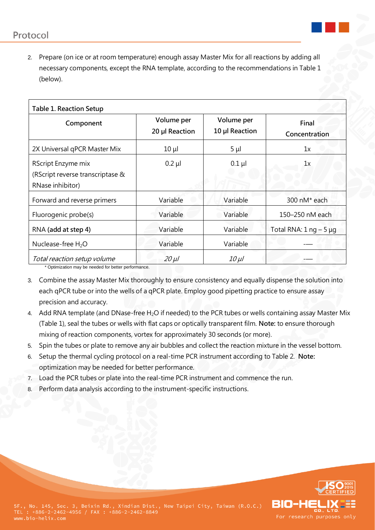

2. Prepare (on ice or at room temperature) enough assay Master Mix for all reactions by adding all necessary components, except the RNA template, according to the recommendations in Table 1 (below).

| Table 1. Reaction Setup                                                    |                              |                              |                           |  |
|----------------------------------------------------------------------------|------------------------------|------------------------------|---------------------------|--|
| Component                                                                  | Volume per<br>20 µl Reaction | Volume per<br>10 µl Reaction | Final<br>Concentration    |  |
| 2X Universal qPCR Master Mix                                               | $10 \mu$                     | $5 \mu$                      | 1x                        |  |
| RScript Enzyme mix<br>(RScript reverse transcriptase &<br>RNase inhibitor) | $0.2$ $\mu$                  | $0.1$ µ                      | 1x                        |  |
| Forward and reverse primers                                                | Variable                     | Variable                     | 300 nM* each              |  |
| Fluorogenic probe(s)                                                       | Variable                     | Variable                     | 150–250 nM each           |  |
| RNA (add at step 4)                                                        | Variable                     | Variable                     | Total RNA: $1$ ng $-5$ µg |  |
| Nuclease-free H <sub>2</sub> O                                             | Variable                     | Variable                     |                           |  |
| Total reaction setup volume                                                | $20 \mu l$                   | $10 \mu l$                   |                           |  |

\* Optimization may be needed for better performance.

- 3. Combine the assay Master Mix thoroughly to ensure consistency and equally dispense the solution into each qPCR tube or into the wells of a qPCR plate. Employ good pipetting practice to ensure assay precision and accuracy.
- 4. Add RNA template (and DNase-free H<sub>2</sub>O if needed) to the PCR tubes or wells containing assay Master Mix (Table 1), seal the tubes or wells with flat caps or optically transparent film. **Note:** to ensure thorough mixing of reaction components, vortex for approximately 30 seconds (or more).
- 5. Spin the tubes or plate to remove any air bubbles and collect the reaction mixture in the vessel bottom.
- 6. Setup the thermal cycling protocol on a real-time PCR instrument according to Table 2. **Note:** optimization may be needed for better performance.
- 7. Load the PCR tubes or plate into the real-time PCR instrument and commence the run.
- 8. Perform data analysis according to the instrument-specific instructions.

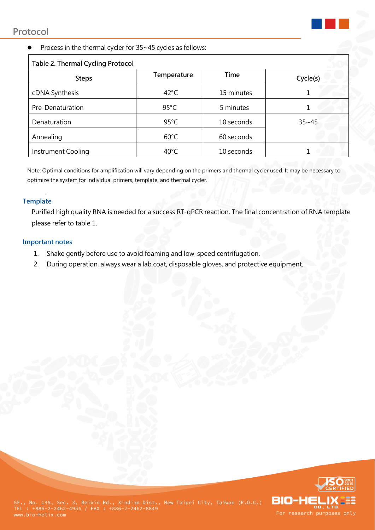

# Process in the thermal cycler for 35~45 cycles as follows:

| Table 2. Thermal Cycling Protocol |                |            |           |
|-----------------------------------|----------------|------------|-----------|
| <b>Steps</b>                      | Temperature    | Time       | Cycle(s)  |
| cDNA Synthesis                    | $42^{\circ}$ C | 15 minutes |           |
| Pre-Denaturation                  | $95^{\circ}$ C | 5 minutes  |           |
| Denaturation                      | $95^{\circ}$ C | 10 seconds | $35 - 45$ |
| Annealing                         | $60^{\circ}$ C | 60 seconds |           |
| Instrument Cooling                | $40^{\circ}$ C | 10 seconds |           |

Note: Optimal conditions for amplification will vary depending on the primers and thermal cycler used. It may be necessary to optimize the system for individual primers, template, and thermal cycler.

### **Template**

.

Purified high quality RNA is needed for a success RT-qPCR reaction. The final concentration of RNA template please refer to table 1.

#### **Important notes**

- 1. Shake gently before use to avoid foaming and low-speed centrifugation.
- 2. During operation, always wear a lab coat, disposable gloves, and protective equipment.